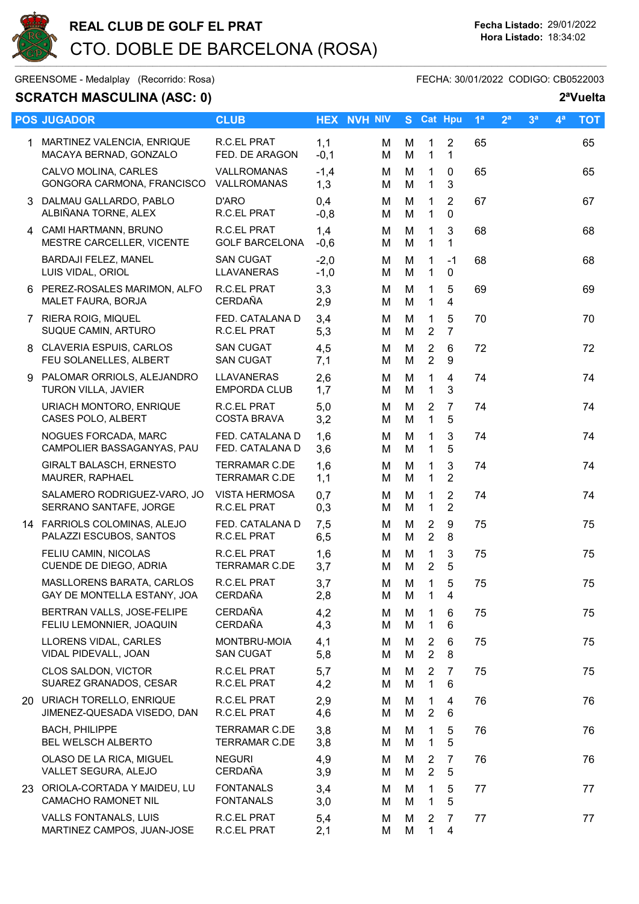

GREENSOME - Medalplay (Recorrido: Rosa) GREENSOME - FECHA: 30/01/2022 CODIGO: CB0522003

## SCRATCH MASCULINA (ASC: 0) 2<sup>a</sup>Vuelta

|    | <b>POS JUGADOR</b>                                        | <b>CLUB</b>                                  |                  | <b>HEX NVH NIV</b> |        | S Cat Hpu                        |                                  | 1 <sup>a</sup> | 2 <sup>a</sup> | 3 <sup>a</sup> | $\mathbf{4}^{\mathsf{a}}$ | <b>TOT</b> |
|----|-----------------------------------------------------------|----------------------------------------------|------------------|--------------------|--------|----------------------------------|----------------------------------|----------------|----------------|----------------|---------------------------|------------|
|    | 1 MARTINEZ VALENCIA, ENRIQUE<br>MACAYA BERNAD, GONZALO    | R.C.EL PRAT<br>FED. DE ARAGON                | 1,1<br>$-0,1$    | м<br>M             | М<br>M | 1<br>$\mathbf{1}$                | $\overline{2}$<br>$\mathbf{1}$   | 65             |                |                |                           | 65         |
|    | CALVO MOLINA, CARLES<br>GONGORA CARMONA, FRANCISCO        | VALLROMANAS<br>VALLROMANAS                   | $-1,4$<br>1,3    | м<br>м             | м<br>M | 1<br>$\mathbf{1}$                | 0<br>3                           | 65             |                |                |                           | 65         |
|    | 3 DALMAU GALLARDO, PABLO<br>ALBIÑANA TORNE, ALEX          | D'ARO<br>R.C.EL PRAT                         | 0,4<br>$-0,8$    | M<br>м             | M<br>M | 1<br>1                           | $\overline{2}$<br>$\mathbf 0$    | 67             |                |                |                           | 67         |
|    | 4 CAMI HARTMANN, BRUNO<br>MESTRE CARCELLER, VICENTE       | R.C.EL PRAT<br><b>GOLF BARCELONA</b>         | 1,4<br>$-0,6$    | м<br>м             | M<br>M | 1<br>$\mathbf 1$                 | 3<br>1                           | 68             |                |                |                           | 68         |
|    | BARDAJI FELEZ, MANEL<br>LUIS VIDAL, ORIOL                 | <b>SAN CUGAT</b><br>LLAVANERAS               | $-2,0$<br>$-1,0$ | м<br>M             | M<br>M | 1<br>$\mathbf{1}$                | $-1$<br>$\mathbf 0$              | 68             |                |                |                           | 68         |
|    | 6 PEREZ-ROSALES MARIMON, ALFO<br>MALET FAURA, BORJA       | R.C.EL PRAT<br>CERDAÑA                       | 3,3<br>2,9       | м<br>м             | M<br>M | $\mathbf{1}$<br>1                | 5<br>$\overline{4}$              | 69             |                |                |                           | 69         |
|    | 7 RIERA ROIG, MIQUEL<br>SUQUE CAMIN, ARTURO               | FED. CATALANA D<br>R.C.EL PRAT               | 3,4<br>5,3       | м<br>м             | M<br>M | $\mathbf{1}$<br>$\overline{2}$   | 5<br>$\overline{7}$              | 70             |                |                |                           | 70         |
|    | 8 CLAVERIA ESPUIS, CARLOS<br>FEU SOLANELLES, ALBERT       | <b>SAN CUGAT</b><br><b>SAN CUGAT</b>         | 4,5<br>7,1       | м<br>м             | M<br>M | $\overline{2}$<br>$\overline{2}$ | 6<br>$\boldsymbol{9}$            | 72             |                |                |                           | 72         |
| 9. | PALOMAR ORRIOLS, ALEJANDRO<br>TURON VILLA, JAVIER         | LLAVANERAS<br><b>EMPORDA CLUB</b>            | 2,6<br>1,7       | м<br>м             | M<br>M | 1<br>$\mathbf{1}$                | $\overline{4}$<br>3              | 74             |                |                |                           | 74         |
|    | URIACH MONTORO, ENRIQUE<br>CASES POLO, ALBERT             | R.C.EL PRAT<br><b>COSTA BRAVA</b>            | 5,0<br>3,2       | м<br>м             | M<br>M | $\overline{2}$<br>$\mathbf{1}$   | $\overline{7}$<br>5              | 74             |                |                |                           | 74         |
|    | NOGUES FORCADA, MARC<br>CAMPOLIER BASSAGANYAS, PAU        | FED. CATALANA D<br>FED. CATALANA D           | 1,6<br>3,6       | м<br>м             | M<br>M | 1<br>1                           | $\mathbf{3}$<br>5                | 74             |                |                |                           | 74         |
|    | <b>GIRALT BALASCH, ERNESTO</b><br>MAURER, RAPHAEL         | <b>TERRAMAR C.DE</b><br><b>TERRAMAR C.DE</b> | 1,6<br>1,1       | м<br>м             | M<br>M | $\mathbf 1$<br>$\mathbf{1}$      | 3<br>$\overline{2}$              | 74             |                |                |                           | 74         |
|    | SALAMERO RODRIGUEZ-VARO, JO<br>SERRANO SANTAFE, JORGE     | <b>VISTA HERMOSA</b><br>R.C.EL PRAT          | 0,7<br>0,3       | M<br>м             | M<br>M | $\mathbf{1}$<br>1                | $\overline{2}$<br>$\overline{2}$ | 74             |                |                |                           | 74         |
|    | 14 FARRIOLS COLOMINAS, ALEJO<br>PALAZZI ESCUBOS, SANTOS   | FED. CATALANA D<br>R.C.EL PRAT               | 7,5<br>6,5       | м<br>м             | M<br>M | 2<br>$\overline{2}$              | 9<br>8                           | 75             |                |                |                           | 75         |
|    | FELIU CAMIN, NICOLAS<br>CUENDE DE DIEGO, ADRIA            | R.C.EL PRAT<br><b>TERRAMAR C.DE</b>          | 1,6<br>3,7       | м<br>м             | M<br>M | 1<br>$\overline{2}$              | 3<br>5                           | 75             |                |                |                           | 75         |
|    | MASLLORENS BARATA, CARLOS<br>GAY DE MONTELLA ESTANY, JOA  | R.C.EL PRAT<br><b>CERDAÑA</b>                | 3,7<br>2,8       | м<br>М             | М<br>M | 1<br>1                           | 5<br>4                           | 75             |                |                |                           | 75         |
|    | BERTRAN VALLS, JOSE-FELIPE<br>FELIU LEMONNIER, JOAQUIN    | <b>CERDAÑA</b><br><b>CERDAÑA</b>             | 4,2<br>4,3       | м<br>М             | M<br>M | 1<br>1                           | 6<br>6                           | 75             |                |                |                           | 75         |
|    | LLORENS VIDAL, CARLES<br>VIDAL PIDEVALL, JOAN             | MONTBRU-MOIA<br><b>SAN CUGAT</b>             | 4,1<br>5,8       | м<br>м             | м<br>M | 2<br>$\overline{2}$              | 6<br>8                           | 75             |                |                |                           | 75         |
|    | CLOS SALDON, VICTOR<br>SUAREZ GRANADOS, CESAR             | R.C.EL PRAT<br>R.C.EL PRAT                   | 5,7<br>4,2       | М<br>м             | м<br>M | $\overline{2}$<br>1              | 7<br>6                           | 75             |                |                |                           | 75         |
|    | 20 URIACH TORELLO, ENRIQUE<br>JIMENEZ-QUESADA VISEDO, DAN | R.C.EL PRAT<br>R.C.EL PRAT                   | 2,9<br>4,6       | м<br>м             | M<br>M | $\mathbf{1}$<br>2                | 4<br>6                           | 76             |                |                |                           | 76         |
|    | <b>BACH, PHILIPPE</b><br>BEL WELSCH ALBERTO               | <b>TERRAMAR C.DE</b><br>TERRAMAR C.DE        | 3,8<br>3,8       | м<br>м             | M<br>M | 1<br>$\mathbf 1$                 | 5<br>5                           | 76             |                |                |                           | 76         |
|    | OLASO DE LA RICA, MIGUEL<br>VALLET SEGURA, ALEJO          | <b>NEGURI</b><br><b>CERDAÑA</b>              | 4,9<br>3,9       | м<br>м             | м<br>M | $\overline{2}$<br>$\overline{2}$ | 7<br>5                           | 76             |                |                |                           | 76         |
|    | 23 ORIOLA-CORTADA Y MAIDEU, LU<br>CAMACHO RAMONET NIL     | <b>FONTANALS</b><br><b>FONTANALS</b>         | 3,4<br>3,0       | M<br>м             | M<br>M | 1.<br>1                          | 5<br>5                           | 77             |                |                |                           | 77         |
|    | VALLS FONTANALS, LUIS<br>MARTINEZ CAMPOS, JUAN-JOSE       | R.C.EL PRAT<br>R.C.EL PRAT                   | 5,4<br>2,1       | м<br>M             | M<br>M | 2<br>$\mathbf 1$                 | 7<br>$\overline{4}$              | 77             |                |                |                           | 77         |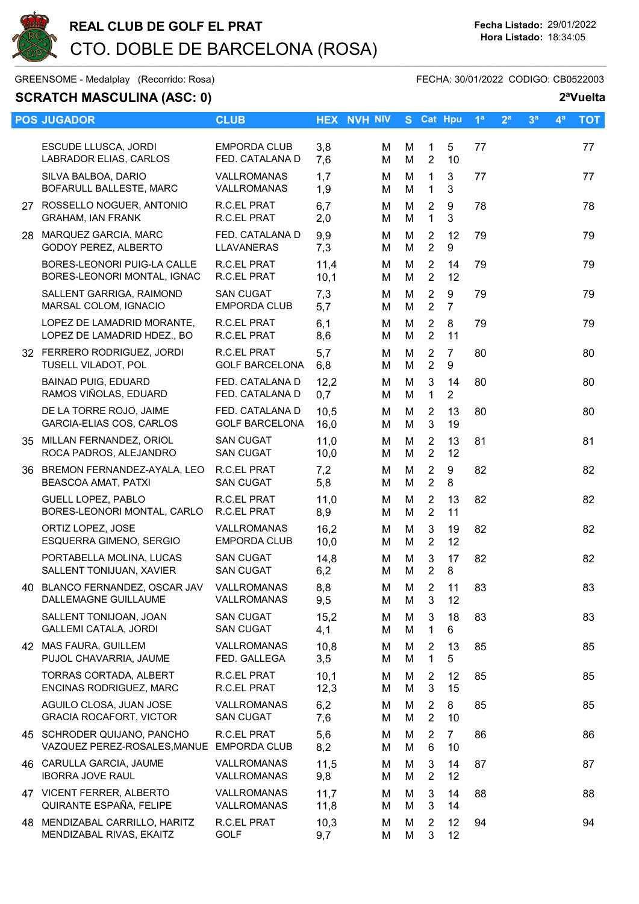

GREENSOME - Medalplay (Recorrido: Rosa) FECHA: 30/01/2022 CODIGO: CB0522003

## SCRATCH MASCULINA (ASC: 0) 2<sup>a</sup>Vuelta POS JUGADOR CLUB CLUB HEX NVH NIV S Cat Hpu 1<sup>a</sup> 2<sup>a</sup> 3<sup>a</sup> 4<sup>a</sup> TOT ESCUDE LLUSCA, JORDI EMPORDA CLUB 3,8 M M 1 5 77 77 LABRADOR ELIAS, CARLOS FED. CATALANA D 7,6 M M SILVA BALBOA, DARIO VALLROMANAS 1,7 M M 1 3 77 77 BOFARULL BALLESTE, MARC VALLROMANAS 1,9 M M 1 3 27 ROSSELLO NOGUER, ANTONIO R.C.EL PRAT 6,7 M M 2 9 78 78 78<br>GRAHAM, IAN FRANK R.C.EL PRAT 2.0 M M 1 3 GRAHAM, IAN FRANK R.C.EL PRAT 2.0 M M 1 28 MARQUEZ GARCIA, MARC FED. CATALANA D 9,9 M M 2 12 79 79 GODOY PEREZ, ALBERTO LLAVANERAS 7,3 M M 2 9 BORES-LEONORI PUIG-LA CALLE R.C.EL PRAT 11,4 M M 2 14 79 79 BORES-LEONORI MONTAL, IGNAC R.C.EL PRAT 10,1 M M MARSAL COLOM, IGNACIO EMPORDA CLUB 5,7 M M 2 7 LOPEZ DE LAMADRID HDEZ., BO R.C.EL PRAT 8,6 M M 2 11 TUSELL VILADOT, POL GOLF BARCELONA 6,8 M M 2 9 RAMOS VIÑOLAS, EDUARD FED. CATALANA D 0,7 M M 1 2 GARCIA-ELIAS COS, CARLOS GOLF BARCELONA 16,0 M M 3 19 ROCA PADROS, ALEJANDRO SAN CUGAT 10,0 M M 2 12 BEASCOA AMAT, PATXI SAN CUGAT 5,8 M M 2 8 BORES-LEONORI MONTAL, CARLO R.C.EL PRAT 8,9 M M 2 11 ESQUERRA GIMENO, SERGIO EMPORDA CLUB 10,0 M M 2 12 SALLENT TONIJUAN, XAVIER SAN CUGAT 6,2 M M 2 8

GRACIA ROCAFORT, VICTOR SAN CUGAT 7,6 M M 2 10

45 SCHRODER QUIJANO, PANCHO R.C.EL PRAT 5,6 M M 2 7 86 86 86<br>VAZQUEZ PEREZ-ROSALES.MANUE EMPORDA CLUB 8.2 M M 6 10 VAZQUEZ PEREZ-ROSALES, MANUE EMPORDA CLUB 8.2 M M 6 46 CARULLA GARCIA, JAUME VALLROMANAS 11,5 M M 3 14 87 87 IBORRA JOVE RAUL VALLROMANAS 9,8 M M 2 12

47 VICENT FERRER, ALBERTO VALLROMANAS 11,7 M M 3 14 88 88 QUIRANTE ESPAÑA, FELIPE VALLROMANAS 11,8 M M 3 14 48 MENDIZABAL CARRILLO, HARITZ R.C.EL PRAT 10,3 M M 2 12 94 94

MENDIZABAL RIVAS, EKAITZ GOLF 9,7 M M 3 12

|     | SALLENT GARRIGA, RAIMOND<br>MARSAL COLOM, IGNACIO          | <b>SAN CUGAT</b><br><b>EMPORDA CLUB</b>     | 7,3<br>5,7   | М<br>М | М<br>M | $\overline{2}$<br>$\overline{2}$ | 9<br>$\overline{7}$  | 79 | 79 |
|-----|------------------------------------------------------------|---------------------------------------------|--------------|--------|--------|----------------------------------|----------------------|----|----|
|     | LOPEZ DE LAMADRID MORANTE,<br>LOPEZ DE LAMADRID HDEZ., BO  | R.C.EL PRAT<br>R.C.EL PRAT                  | 6,1<br>8,6   | м<br>М | M<br>M | $\overline{2}$<br>$\overline{2}$ | 8<br>11              | 79 | 79 |
|     | 32 FERRERO RODRIGUEZ, JORDI<br>TUSELL VILADOT, POL         | <b>R.C.EL PRAT</b><br><b>GOLF BARCELONA</b> | 5,7<br>6,8   | М<br>М | M<br>M | $\overline{2}$<br>$\overline{2}$ | 7<br>9               | 80 | 80 |
|     | <b>BAINAD PUIG, EDUARD</b><br>RAMOS VIÑOLAS, EDUARD        | FED. CATALANA D<br>FED. CATALANA D          | 12,2<br>0,7  | м<br>М | M<br>M | 3<br>$\mathbf{1}$                | 14<br>$\overline{2}$ | 80 | 80 |
|     | DE LA TORRE ROJO, JAIME<br>GARCIA-ELIAS COS, CARLOS        | FED. CATALANA D<br><b>GOLF BARCELONA</b>    | 10,5<br>16,0 | М<br>М | М<br>M | $\overline{2}$<br>3              | 13<br>19             | 80 | 80 |
| 35  | MILLAN FERNANDEZ, ORIOL<br>ROCA PADROS, ALEJANDRO          | <b>SAN CUGAT</b><br><b>SAN CUGAT</b>        | 11,0<br>10,0 | М<br>М | M<br>M | 2<br>2                           | 13<br>12             | 81 | 81 |
| 36  | BREMON FERNANDEZ-AYALA, LEO<br>BEASCOA AMAT, PATXI         | R.C.EL PRAT<br><b>SAN CUGAT</b>             | 7,2<br>5,8   | м<br>М | М<br>М | $\overline{2}$<br>$\overline{2}$ | 9<br>8               | 82 | 82 |
|     | <b>GUELL LOPEZ, PABLO</b><br>BORES-LEONORI MONTAL, CARLO   | R.C.EL PRAT<br>R.C.EL PRAT                  | 11,0<br>8,9  | М<br>М | M<br>M | $\overline{2}$<br>$\overline{2}$ | 13<br>11             | 82 | 82 |
|     | ORTIZ LOPEZ, JOSE<br>ESQUERRA GIMENO, SERGIO               | VALLROMANAS<br><b>EMPORDA CLUB</b>          | 16,2<br>10,0 | М<br>м | M<br>M | 3<br>2                           | 19<br>12             | 82 | 82 |
|     | PORTABELLA MOLINA, LUCAS<br>SALLENT TONIJUAN, XAVIER       | <b>SAN CUGAT</b><br><b>SAN CUGAT</b>        | 14,8<br>6,2  | М<br>М | м<br>M | 3<br>$\overline{2}$              | 17<br>8              | 82 | 82 |
| 40  | BLANCO FERNANDEZ, OSCAR JAV<br><b>DALLEMAGNE GUILLAUME</b> | VALLROMANAS<br><b>VALLROMANAS</b>           | 8,8<br>9,5   | М<br>М | M<br>M | $\overline{2}$<br>$\mathbf{3}$   | 11<br>12             | 83 | 83 |
|     | SALLENT TONIJOAN, JOAN<br><b>GALLEMI CATALA, JORDI</b>     | <b>SAN CUGAT</b><br><b>SAN CUGAT</b>        | 15,2<br>4,1  | м<br>м | M<br>M | 3<br>$\mathbf{1}$                | 18<br>6              | 83 | 83 |
| 42. | MAS FAURA, GUILLEM<br>PUJOL CHAVARRIA, JAUME               | <b>VALLROMANAS</b><br>FED. GALLEGA          | 10,8<br>3,5  | М<br>М | M<br>M | $\overline{2}$<br>$\mathbf{1}$   | 13<br>5              | 85 | 85 |
|     | TORRAS CORTADA, ALBERT<br>ENCINAS RODRIGUEZ, MARC          | R.C.EL PRAT<br>R.C.EL PRAT                  | 10,1<br>12,3 | М<br>М | M<br>M | $\overline{2}$<br>3              | 12<br>15             | 85 | 85 |
|     | AGUILO CLOSA, JUAN JOSE                                    | <b>VALLROMANAS</b>                          | 6,2          | М      | M      | 2                                | 8                    | 85 | 85 |